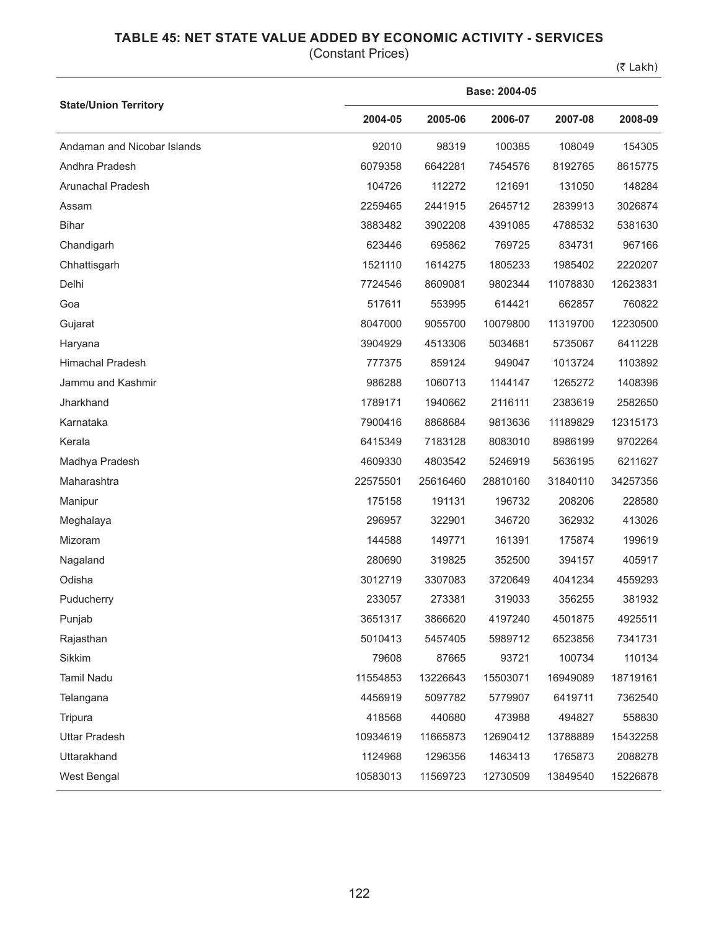## **TABLE 45: NET STATE VALUE ADDED BY ECONOMIC ACTIVITY - SERVICES**

(Constant Prices)

(₹ Lakh)

|                              | Base: 2004-05 |          |          |          |          |  |  |  |
|------------------------------|---------------|----------|----------|----------|----------|--|--|--|
| <b>State/Union Territory</b> | 2004-05       | 2005-06  | 2006-07  | 2007-08  | 2008-09  |  |  |  |
| Andaman and Nicobar Islands  | 92010         | 98319    | 100385   | 108049   | 154305   |  |  |  |
| Andhra Pradesh               | 6079358       | 6642281  | 7454576  | 8192765  | 8615775  |  |  |  |
| Arunachal Pradesh            | 104726        | 112272   | 121691   | 131050   | 148284   |  |  |  |
| Assam                        | 2259465       | 2441915  | 2645712  | 2839913  | 3026874  |  |  |  |
| <b>Bihar</b>                 | 3883482       | 3902208  | 4391085  | 4788532  | 5381630  |  |  |  |
| Chandigarh                   | 623446        | 695862   | 769725   | 834731   | 967166   |  |  |  |
| Chhattisgarh                 | 1521110       | 1614275  | 1805233  | 1985402  | 2220207  |  |  |  |
| Delhi                        | 7724546       | 8609081  | 9802344  | 11078830 | 12623831 |  |  |  |
| Goa                          | 517611        | 553995   | 614421   | 662857   | 760822   |  |  |  |
| Gujarat                      | 8047000       | 9055700  | 10079800 | 11319700 | 12230500 |  |  |  |
| Haryana                      | 3904929       | 4513306  | 5034681  | 5735067  | 6411228  |  |  |  |
| <b>Himachal Pradesh</b>      | 777375        | 859124   | 949047   | 1013724  | 1103892  |  |  |  |
| Jammu and Kashmir            | 986288        | 1060713  | 1144147  | 1265272  | 1408396  |  |  |  |
| Jharkhand                    | 1789171       | 1940662  | 2116111  | 2383619  | 2582650  |  |  |  |
| Karnataka                    | 7900416       | 8868684  | 9813636  | 11189829 | 12315173 |  |  |  |
| Kerala                       | 6415349       | 7183128  | 8083010  | 8986199  | 9702264  |  |  |  |
| Madhya Pradesh               | 4609330       | 4803542  | 5246919  | 5636195  | 6211627  |  |  |  |
| Maharashtra                  | 22575501      | 25616460 | 28810160 | 31840110 | 34257356 |  |  |  |
| Manipur                      | 175158        | 191131   | 196732   | 208206   | 228580   |  |  |  |
| Meghalaya                    | 296957        | 322901   | 346720   | 362932   | 413026   |  |  |  |
| Mizoram                      | 144588        | 149771   | 161391   | 175874   | 199619   |  |  |  |
| Nagaland                     | 280690        | 319825   | 352500   | 394157   | 405917   |  |  |  |
| Odisha                       | 3012719       | 3307083  | 3720649  | 4041234  | 4559293  |  |  |  |
| Puducherry                   | 233057        | 273381   | 319033   | 356255   | 381932   |  |  |  |
| Punjab                       | 3651317       | 3866620  | 4197240  | 4501875  | 4925511  |  |  |  |
| Rajasthan                    | 5010413       | 5457405  | 5989712  | 6523856  | 7341731  |  |  |  |
| Sikkim                       | 79608         | 87665    | 93721    | 100734   | 110134   |  |  |  |
| Tamil Nadu                   | 11554853      | 13226643 | 15503071 | 16949089 | 18719161 |  |  |  |
| Telangana                    | 4456919       | 5097782  | 5779907  | 6419711  | 7362540  |  |  |  |
| Tripura                      | 418568        | 440680   | 473988   | 494827   | 558830   |  |  |  |
| <b>Uttar Pradesh</b>         | 10934619      | 11665873 | 12690412 | 13788889 | 15432258 |  |  |  |
| Uttarakhand                  | 1124968       | 1296356  | 1463413  | 1765873  | 2088278  |  |  |  |
| West Bengal                  | 10583013      | 11569723 | 12730509 | 13849540 | 15226878 |  |  |  |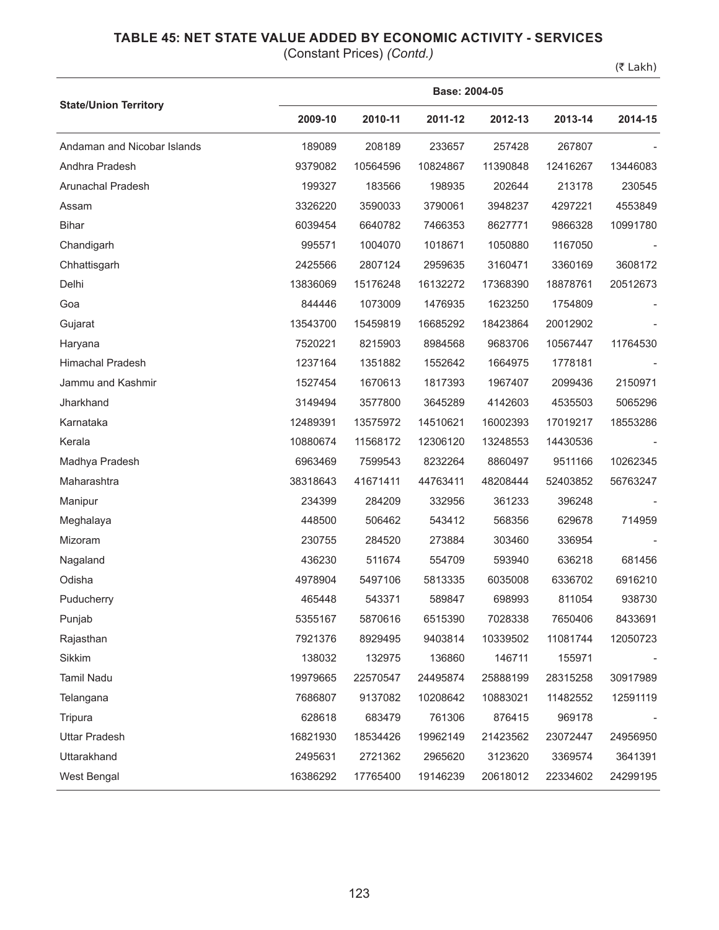## **TABLE 45: NET STATE VALUE ADDED BY ECONOMIC ACTIVITY - SERVICES**

(Constant Prices) *(Contd.)*

(₹ Lakh)

|                              |          | Base: 2004-05 |          |          |          |          |  |  |  |
|------------------------------|----------|---------------|----------|----------|----------|----------|--|--|--|
| <b>State/Union Territory</b> | 2009-10  | 2010-11       | 2011-12  | 2012-13  | 2013-14  | 2014-15  |  |  |  |
| Andaman and Nicobar Islands  | 189089   | 208189        | 233657   | 257428   | 267807   |          |  |  |  |
| Andhra Pradesh               | 9379082  | 10564596      | 10824867 | 11390848 | 12416267 | 13446083 |  |  |  |
| Arunachal Pradesh            | 199327   | 183566        | 198935   | 202644   | 213178   | 230545   |  |  |  |
| Assam                        | 3326220  | 3590033       | 3790061  | 3948237  | 4297221  | 4553849  |  |  |  |
| <b>Bihar</b>                 | 6039454  | 6640782       | 7466353  | 8627771  | 9866328  | 10991780 |  |  |  |
| Chandigarh                   | 995571   | 1004070       | 1018671  | 1050880  | 1167050  |          |  |  |  |
| Chhattisgarh                 | 2425566  | 2807124       | 2959635  | 3160471  | 3360169  | 3608172  |  |  |  |
| Delhi                        | 13836069 | 15176248      | 16132272 | 17368390 | 18878761 | 20512673 |  |  |  |
| Goa                          | 844446   | 1073009       | 1476935  | 1623250  | 1754809  |          |  |  |  |
| Gujarat                      | 13543700 | 15459819      | 16685292 | 18423864 | 20012902 |          |  |  |  |
| Haryana                      | 7520221  | 8215903       | 8984568  | 9683706  | 10567447 | 11764530 |  |  |  |
| Himachal Pradesh             | 1237164  | 1351882       | 1552642  | 1664975  | 1778181  |          |  |  |  |
| Jammu and Kashmir            | 1527454  | 1670613       | 1817393  | 1967407  | 2099436  | 2150971  |  |  |  |
| Jharkhand                    | 3149494  | 3577800       | 3645289  | 4142603  | 4535503  | 5065296  |  |  |  |
| Karnataka                    | 12489391 | 13575972      | 14510621 | 16002393 | 17019217 | 18553286 |  |  |  |
| Kerala                       | 10880674 | 11568172      | 12306120 | 13248553 | 14430536 |          |  |  |  |
| Madhya Pradesh               | 6963469  | 7599543       | 8232264  | 8860497  | 9511166  | 10262345 |  |  |  |
| Maharashtra                  | 38318643 | 41671411      | 44763411 | 48208444 | 52403852 | 56763247 |  |  |  |
| Manipur                      | 234399   | 284209        | 332956   | 361233   | 396248   |          |  |  |  |
| Meghalaya                    | 448500   | 506462        | 543412   | 568356   | 629678   | 714959   |  |  |  |
| Mizoram                      | 230755   | 284520        | 273884   | 303460   | 336954   |          |  |  |  |
| Nagaland                     | 436230   | 511674        | 554709   | 593940   | 636218   | 681456   |  |  |  |
| Odisha                       | 4978904  | 5497106       | 5813335  | 6035008  | 6336702  | 6916210  |  |  |  |
| Puducherry                   | 465448   | 543371        | 589847   | 698993   | 811054   | 938730   |  |  |  |
| Punjab                       | 5355167  | 5870616       | 6515390  | 7028338  | 7650406  | 8433691  |  |  |  |
| Rajasthan                    | 7921376  | 8929495       | 9403814  | 10339502 | 11081744 | 12050723 |  |  |  |
| Sikkim                       | 138032   | 132975        | 136860   | 146711   | 155971   |          |  |  |  |
| Tamil Nadu                   | 19979665 | 22570547      | 24495874 | 25888199 | 28315258 | 30917989 |  |  |  |
| Telangana                    | 7686807  | 9137082       | 10208642 | 10883021 | 11482552 | 12591119 |  |  |  |
| Tripura                      | 628618   | 683479        | 761306   | 876415   | 969178   |          |  |  |  |
| <b>Uttar Pradesh</b>         | 16821930 | 18534426      | 19962149 | 21423562 | 23072447 | 24956950 |  |  |  |
| Uttarakhand                  | 2495631  | 2721362       | 2965620  | 3123620  | 3369574  | 3641391  |  |  |  |
| West Bengal                  | 16386292 | 17765400      | 19146239 | 20618012 | 22334602 | 24299195 |  |  |  |